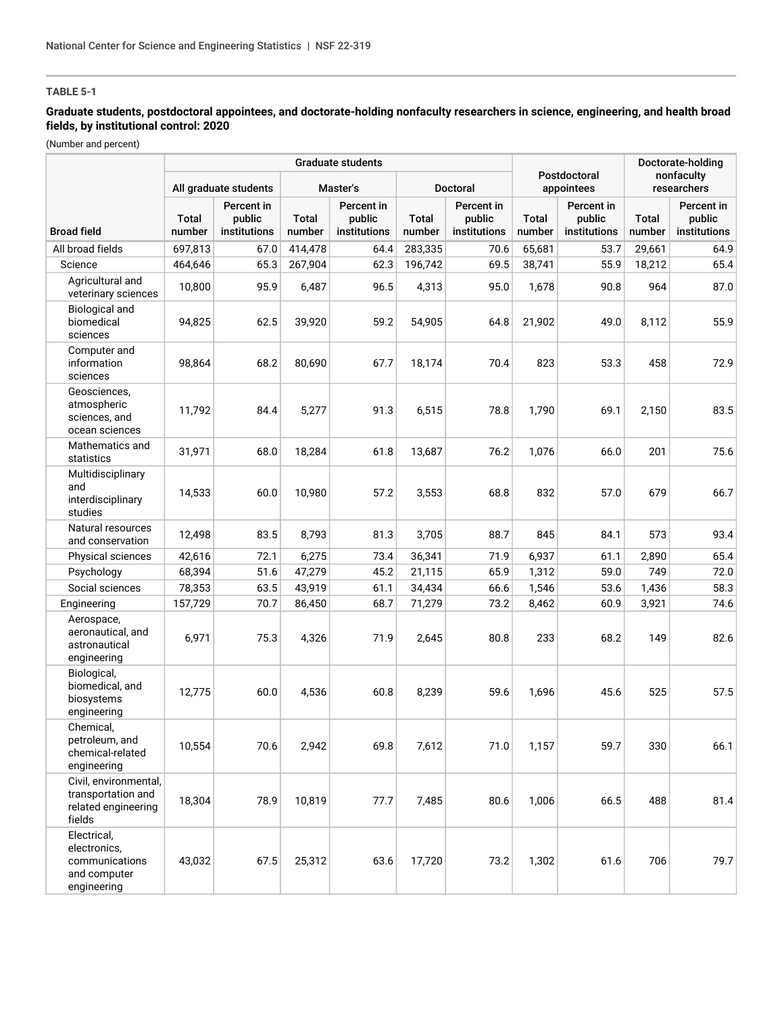# **TABLE 5-1**

## **Graduate students, postdoctoral appointees, and doctorate-holding nonfaculty researchers in science, engineering, and health broad fields, by institutional control: 2020**

(Number and percent)

|                                                                              | <b>Graduate students</b> |                                      |                 |                                      |                        |                                      |                            |                                      |                           | Doctorate-holding                    |  |
|------------------------------------------------------------------------------|--------------------------|--------------------------------------|-----------------|--------------------------------------|------------------------|--------------------------------------|----------------------------|--------------------------------------|---------------------------|--------------------------------------|--|
|                                                                              | All graduate students    |                                      | Master's        |                                      | Doctoral               |                                      | Postdoctoral<br>appointees |                                      | nonfaculty<br>researchers |                                      |  |
| <b>Broad field</b>                                                           | Total<br>number          | Percent in<br>public<br>institutions | Total<br>number | Percent in<br>public<br>institutions | <b>Total</b><br>number | Percent in<br>public<br>institutions | Total<br>number            | Percent in<br>public<br>institutions | Total<br>number           | Percent in<br>public<br>institutions |  |
| All broad fields                                                             | 697,813                  | 67.0                                 | 414,478         | 64.4                                 | 283,335                | 70.6                                 | 65,681                     | 53.7                                 | 29,661                    | 64.9                                 |  |
| Science                                                                      | 464,646                  | 65.3                                 | 267,904         | 62.3                                 | 196,742                | 69.5                                 | 38,741                     | 55.9                                 | 18,212                    | 65.4                                 |  |
| Agricultural and<br>veterinary sciences                                      | 10,800                   | 95.9                                 | 6,487           | 96.5                                 | 4,313                  | 95.0                                 | 1,678                      | 90.8                                 | 964                       | 87.0                                 |  |
| <b>Biological and</b><br>biomedical<br>sciences                              | 94,825                   | 62.5                                 | 39,920          | 59.2                                 | 54,905                 | 64.8                                 | 21,902                     | 49.0                                 | 8.112                     | 55.9                                 |  |
| Computer and<br>information<br>sciences                                      | 98,864                   | 68.2                                 | 80,690          | 67.7                                 | 18,174                 | 70.4                                 | 823                        | 53.3                                 | 458                       | 72.9                                 |  |
| Geosciences,<br>atmospheric<br>sciences, and<br>ocean sciences               | 11,792                   | 84.4                                 | 5,277           | 91.3                                 | 6,515                  | 78.8                                 | 1,790                      | 69.1                                 | 2,150                     | 83.5                                 |  |
| Mathematics and<br>statistics                                                | 31,971                   | 68.0                                 | 18,284          | 61.8                                 | 13,687                 | 76.2                                 | 1,076                      | 66.0                                 | 201                       | 75.6                                 |  |
| Multidisciplinary<br>and<br>interdisciplinary<br>studies                     | 14,533                   | 60.0                                 | 10,980          | 57.2                                 | 3,553                  | 68.8                                 | 832                        | 57.0                                 | 679                       | 66.7                                 |  |
| Natural resources<br>and conservation                                        | 12,498                   | 83.5                                 | 8,793           | 81.3                                 | 3,705                  | 88.7                                 | 845                        | 84.1                                 | 573                       | 93.4                                 |  |
| Physical sciences                                                            | 42,616                   | 72.1                                 | 6,275           | 73.4                                 | 36,341                 | 71.9                                 | 6,937                      | 61.1                                 | 2,890                     | 65.4                                 |  |
| Psychology                                                                   | 68,394                   | 51.6                                 | 47,279          | 45.2                                 | 21,115                 | 65.9                                 | 1,312                      | 59.0                                 | 749                       | 72.0                                 |  |
| Social sciences                                                              | 78,353                   | 63.5                                 | 43,919          | 61.1                                 | 34,434                 | 66.6                                 | 1,546                      | 53.6                                 | 1,436                     | 58.3                                 |  |
| Engineering                                                                  | 157,729                  | 70.7                                 | 86,450          | 68.7                                 | 71,279                 | 73.2                                 | 8,462                      | 60.9                                 | 3,921                     | 74.6                                 |  |
| Aerospace,<br>aeronautical, and<br>astronautical<br>engineering              | 6,971                    | 75.3                                 | 4,326           | 71.9                                 | 2,645                  | 80.8                                 | 233                        | 68.2                                 | 149                       | 82.6                                 |  |
| Biological,<br>biomedical, and<br>biosystems<br>engineering                  | 12,775                   | 60.0                                 | 4,536           | 60.8                                 | 8,239                  | 59.6                                 | 1,696                      | 45.6                                 | 525                       | 57.5                                 |  |
| Chemical,<br>petroleum, and<br>chemical-related<br>engineering               | 10,554                   | 70.6                                 | 2,942           | 69.8                                 | 7,612                  | 71.0                                 | 1,157                      | 59.7                                 | 330                       | 66.1                                 |  |
| Civil, environmental,<br>transportation and<br>related engineering<br>fields | 18,304                   | 78.9                                 | 10,819          | 77.7                                 | 7,485                  | 80.6                                 | 1,006                      | 66.5                                 | 488                       | 81.4                                 |  |
| Electrical,<br>electronics,<br>communications<br>and computer<br>engineering | 43,032                   | 67.5                                 | 25,312          | 63.6                                 | 17,720                 | 73.2                                 | 1,302                      | 61.6                                 | 706                       | 79.7                                 |  |